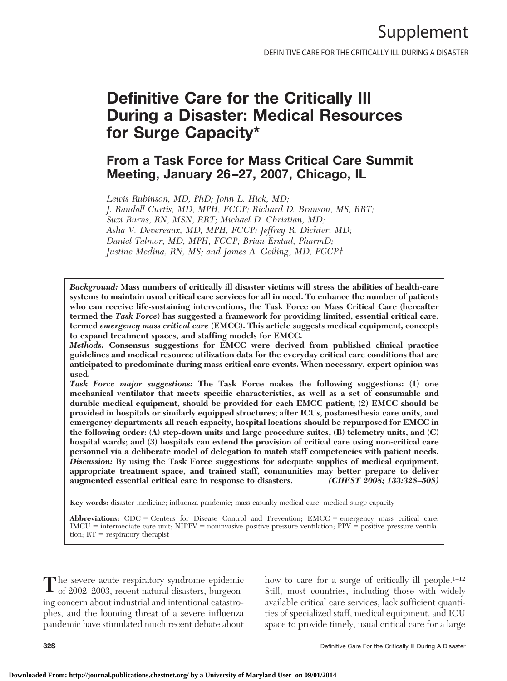DEFINITIVE CARE FOR THE CRITICALLY ILL DURING A DISASTER

# **Definitive Care for the Critically Ill During a Disaster: Medical Resources for Surge Capacity\***

## **From a Task Force for Mass Critical Care Summit Meeting, January 26 –27, 2007, Chicago, IL**

*Lewis Rubinson, MD, PhD; John L. Hick, MD; J. Randall Curtis, MD, MPH, FCCP; Richard D. Branson, MS, RRT; Suzi Burns, RN, MSN, RRT; Michael D. Christian, MD; Asha V. Devereaux, MD, MPH, FCCP; Jeffrey R. Dichter, MD; Daniel Talmor, MD, MPH, FCCP; Brian Erstad, PharmD; Justine Medina, RN, MS; and James A. Geiling, MD, FCCP†*

*Background:* **Mass numbers of critically ill disaster victims will stress the abilities of health-care systems to maintain usual critical care services for all in need. To enhance the number of patients who can receive life-sustaining interventions, the Task Force on Mass Critical Care (hereafter termed the** *Task Force***) has suggested a framework for providing limited, essential critical care, termed** *emergency mass critical care* **(EMCC). This article suggests medical equipment, concepts to expand treatment spaces, and staffing models for EMCC.**

*Methods:* **Consensus suggestions for EMCC were derived from published clinical practice guidelines and medical resource utilization data for the everyday critical care conditions that are anticipated to predominate during mass critical care events. When necessary, expert opinion was used.**

*Task Force major suggestions:* **The Task Force makes the following suggestions: (1) one mechanical ventilator that meets specific characteristics, as well as a set of consumable and durable medical equipment, should be provided for each EMCC patient; (2) EMCC should be provided in hospitals or similarly equipped structures; after ICUs, postanesthesia care units, and emergency departments all reach capacity, hospital locations should be repurposed for EMCC in the following order: (A) step-down units and large procedure suites, (B) telemetry units, and (C) hospital wards; and (3) hospitals can extend the provision of critical care using non-critical care personnel via a deliberate model of delegation to match staff competencies with patient needs.** *Discussion:* **By using the Task Force suggestions for adequate supplies of medical equipment, appropriate treatment space, and trained staff, communities may better prepare to deliver augmented essential critical care in response to disasters.** *(CHEST 2008; 133:32S–50S)*

**Key words:** disaster medicine; influenza pandemic; mass casualty medical care; medical surge capacity

Abbreviations: CDC = Centers for Disease Control and Prevention; EMCC = emergency mass critical care; IMCU = intermediate care unit; NIPPV = noninvasive positive pressure ventilation; PPV = positive pressure ventilation;  $RT$  = respiratory therapist

The severe acute respiratory syndrome epidemic of 2002–2003, recent natural disasters, burgeoning concern about industrial and intentional catastrophes, and the looming threat of a severe influenza pandemic have stimulated much recent debate about how to care for a surge of critically ill people. $1-12$ Still, most countries, including those with widely available critical care services, lack sufficient quantities of specialized staff, medical equipment, and ICU space to provide timely, usual critical care for a large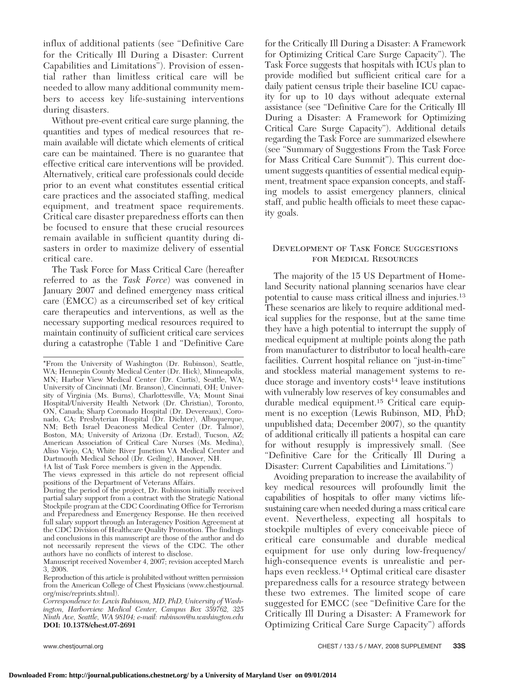influx of additional patients (see "Definitive Care for the Critically Ill During a Disaster: Current Capabilities and Limitations"). Provision of essential rather than limitless critical care will be needed to allow many additional community members to access key life-sustaining interventions during disasters.

Without pre-event critical care surge planning, the quantities and types of medical resources that remain available will dictate which elements of critical care can be maintained. There is no guarantee that effective critical care interventions will be provided. Alternatively, critical care professionals could decide prior to an event what constitutes essential critical care practices and the associated staffing, medical equipment, and treatment space requirements. Critical care disaster preparedness efforts can then be focused to ensure that these crucial resources remain available in sufficient quantity during disasters in order to maximize delivery of essential critical care.

The Task Force for Mass Critical Care (hereafter referred to as the *Task Force*) was convened in January 2007 and defined emergency mass critical care (EMCC) as a circumscribed set of key critical care therapeutics and interventions, as well as the necessary supporting medical resources required to maintain continuity of sufficient critical care services during a catastrophe (Table 1 and "Definitive Care

The views expressed in this article do not represent official positions of the Department of Veterans Affairs.

Manuscript received November 4, 2007; revision accepted March 3, 2008.

Reproduction of this article is prohibited without written permission from the American College of Chest Physicians (www.chestjournal. org/misc/reprints.shtml).

*Correspondence to: Lewis Rubinson, MD, PhD, University of Washington, Harborview Medical Center, Campus Box 359762, 325 Ninth Ave, Seattle, WA 98104; e-mail: rubinson@u.washington.edu* **DOI: 10.1378/chest.07-2691**

for the Critically Ill During a Disaster: A Framework for Optimizing Critical Care Surge Capacity"). The Task Force suggests that hospitals with ICUs plan to provide modified but sufficient critical care for a daily patient census triple their baseline ICU capacity for up to 10 days without adequate external assistance (see "Definitive Care for the Critically Ill During a Disaster: A Framework for Optimizing Critical Care Surge Capacity"). Additional details regarding the Task Force are summarized elsewhere (see "Summary of Suggestions From the Task Force for Mass Critical Care Summit"). This current document suggests quantities of essential medical equipment, treatment space expansion concepts, and staffing models to assist emergency planners, clinical staff, and public health officials to meet these capacity goals.

### Development of Task Force Suggestions for Medical Resources

The majority of the 15 US Department of Homeland Security national planning scenarios have clear potential to cause mass critical illness and injuries.13 These scenarios are likely to require additional medical supplies for the response, but at the same time they have a high potential to interrupt the supply of medical equipment at multiple points along the path from manufacturer to distributor to local health-care facilities. Current hospital reliance on "just-in-time" and stockless material management systems to reduce storage and inventory costs<sup>14</sup> leave institutions with vulnerably low reserves of key consumables and durable medical equipment.15 Critical care equipment is no exception (Lewis Rubinson, MD, PhD; unpublished data; December 2007), so the quantity of additional critically ill patients a hospital can care for without resupply is impressively small. (See "Definitive Care for the Critically Ill During a Disaster: Current Capabilities and Limitations.")

Avoiding preparation to increase the availability of key medical resources will profoundly limit the capabilities of hospitals to offer many victims lifesustaining care when needed during a mass critical care event. Nevertheless, expecting all hospitals to stockpile multiples of every conceivable piece of critical care consumable and durable medical equipment for use only during low-frequency/ high-consequence events is unrealistic and perhaps even reckless.14 Optimal critical care disaster preparedness calls for a resource strategy between these two extremes. The limited scope of care suggested for EMCC (see "Definitive Care for the Critically Ill During a Disaster: A Framework for Optimizing Critical Care Surge Capacity") affords

<sup>\*</sup>From the University of Washington (Dr. Rubinson), Seattle, WA; Hennepin County Medical Center (Dr. Hick), Minneapolis, MN; Harbor View Medical Center (Dr. Curtis), Seattle, WA; University of Cincinnati (Mr. Branson), Cincinnati, OH; University of Virginia (Ms. Burns), Charlottesville, VA; Mount Sinai Hospital/University Health Network (Dr. Christian), Toronto, ON, Canada; Sharp Coronado Hospital (Dr. Devereaux), Coronado, CA; Presbyterian Hospital (Dr. Dichter), Albuquerque, NM; Beth Israel Deaconess Medical Center (Dr. Talmor), Boston, MA; University of Arizona (Dr. Erstad), Tucson, AZ; American Association of Critical Care Nurses (Ms. Medina), Aliso Viejo, CA; White River Junction VA Medical Center and Dartmouth Medical School (Dr. Geiling), Hanover, NH. †A list of Task Force members is given in the Appendix.

During the period of the project, Dr. Rubinson initially received partial salary support from a contract with the Strategic National Stockpile program at the CDC Coordinating Office for Terrorism and Preparedness and Emergency Response. He then received full salary support through an Interagency Position Agreement at the CDC Division of Healthcare Quality Promotion. The findings and conclusions in this manuscript are those of the author and do not necessarily represent the views of the CDC. The other authors have no conflicts of interest to disclose.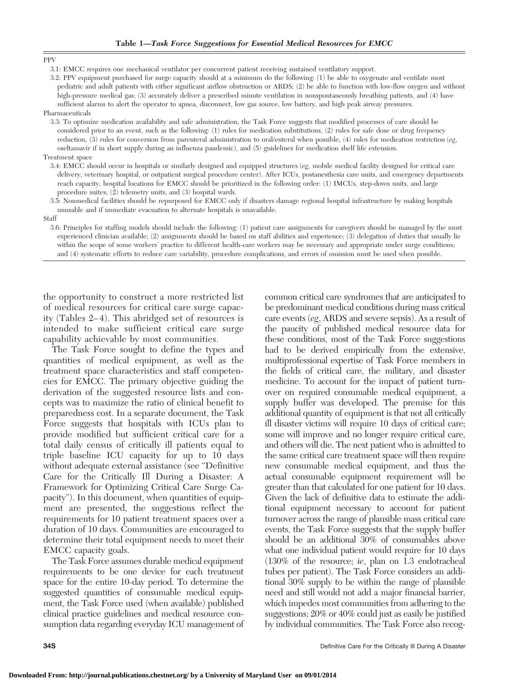#### PPV

3.1: EMCC requires one mechanical ventilator per concurrent patient receiving sustained ventilatory support.

3.2: PPV equipment purchased for surge capacity should at a minimum do the following: (1) be able to oxygenate and ventilate most pediatric and adult patients with either significant airflow obstruction or ARDS; (2) be able to function with low-flow oxygen and without high-pressure medical gas; (3) accurately deliver a prescribed minute ventilation in nonspontaneously breathing patients, and (4) have sufficient alarms to alert the operator to apnea, disconnect, low gas source, low battery, and high peak airway pressures.

#### Pharmaceuticals

3.3: To optimize medication availability and safe administration, the Task Force suggests that modified processes of care should be considered prior to an event, such as the following: (1) rules for medication substitutions, (2) rules for safe dose or drug frequency reduction, (3) rules for conversion from parenteral administration to oral/enteral when possible, (4) rules for medication restriction (*eg*, oseltamavir if in short supply during an influenza pandemic), and (5) guidelines for medication shelf life extension. Treatment space

3.4: EMCC should occur in hospitals or similarly designed and equipped structures (*eg*, mobile medical facility designed for critical care delivery, veterinary hospital, or outpatient surgical procedure center). After ICUs, postanesthesia care units, and emergency departments reach capacity, hospital locations for EMCC should be prioritized in the following order: (1) IMCUs, step-down units, and large procedure suites; (2) telemetry units; and (3) hospital wards.

3.5: Nonmedical facilities should be repurposed for EMCC only if disasters damage regional hospital infrastructure by making hospitals unusable and if immediate evacuation to alternate hospitals is unavailable.

Staff

3.6: Principles for staffing models should include the following: (1) patient care assignments for caregivers should be managed by the most experienced clinician available; (2) assignments should be based on staff abilities and experience; (3) delegation of duties that usually lie within the scope of some workers' practice to different health-care workers may be necessary and appropriate under surge conditions; and (4) systematic efforts to reduce care variability, procedure complications, and errors of omission must be used when possible.

the opportunity to construct a more restricted list of medical resources for critical care surge capacity (Tables 2– 4). This abridged set of resources is intended to make sufficient critical care surge capability achievable by most communities.

The Task Force sought to define the types and quantities of medical equipment, as well as the treatment space characteristics and staff competencies for EMCC. The primary objective guiding the derivation of the suggested resource lists and concepts was to maximize the ratio of clinical benefit to preparedness cost. In a separate document, the Task Force suggests that hospitals with ICUs plan to provide modified but sufficient critical care for a total daily census of critically ill patients equal to triple baseline ICU capacity for up to 10 days without adequate external assistance (see "Definitive Care for the Critically Ill During a Disaster: A Framework for Optimizing Critical Care Surge Capacity"). In this document, when quantities of equipment are presented, the suggestions reflect the requirements for 10 patient treatment spaces over a duration of 10 days. Communities are encouraged to determine their total equipment needs to meet their EMCC capacity goals.

The Task Force assumes durable medical equipment requirements to be one device for each treatment space for the entire 10-day period. To determine the suggested quantities of consumable medical equipment, the Task Force used (when available) published clinical practice guidelines and medical resource consumption data regarding everyday ICU management of common critical care syndromes that are anticipated to be predominant medical conditions during mass critical care events (*eg*, ARDS and severe sepsis). As a result of the paucity of published medical resource data for these conditions, most of the Task Force suggestions had to be derived empirically from the extensive, multiprofessional expertise of Task Force members in the fields of critical care, the military, and disaster medicine. To account for the impact of patient turnover on required consumable medical equipment, a supply buffer was developed. The premise for this additional quantity of equipment is that not all critically ill disaster victims will require 10 days of critical care; some will improve and no longer require critical care, and others will die. The next patient who is admitted to the same critical care treatment space will then require new consumable medical equipment, and thus the actual consumable equipment requirement will be greater than that calculated for one patient for 10 days. Given the lack of definitive data to estimate the additional equipment necessary to account for patient turnover across the range of plausible mass critical care events, the Task Force suggests that the supply buffer should be an additional 30% of consumables above what one individual patient would require for 10 days (130% of the resource; *ie*, plan on 1.3 endotracheal tubes per patient). The Task Force considers an additional 30% supply to be within the range of plausible need and still would not add a major financial barrier, which impedes most communities from adhering to the suggestions; 20% or 40% could just as easily be justified by individual communities. The Task Force also recog-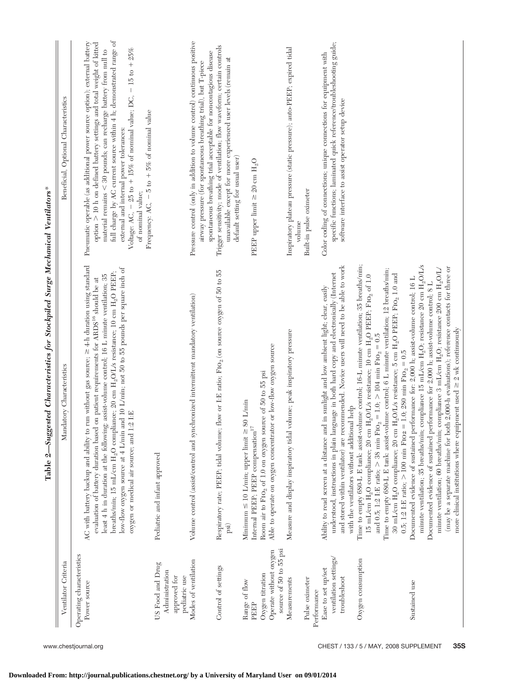| Ventilator Criteria                                                                           | Mandatory Characteristics                                                                                                                                                                                                                                                                                                                                                                                                                                                                                                                                                                                                                        | Beneficial, Optional Characteristics                                                                                                                                                                                                                                                                                                                                                                                                                                                          |
|-----------------------------------------------------------------------------------------------|--------------------------------------------------------------------------------------------------------------------------------------------------------------------------------------------------------------------------------------------------------------------------------------------------------------------------------------------------------------------------------------------------------------------------------------------------------------------------------------------------------------------------------------------------------------------------------------------------------------------------------------------------|-----------------------------------------------------------------------------------------------------------------------------------------------------------------------------------------------------------------------------------------------------------------------------------------------------------------------------------------------------------------------------------------------------------------------------------------------------------------------------------------------|
| Operating characteristics<br>Power source                                                     | AC with battery backup and ability to run without gas source; $\geq 4$ -h duration using standard<br>low-flow oxygen source at 4 L/min and 10 L/min; not 50 to 55 pounds per square inch of<br>breaths/min; 15 mL/cm H <sub>2</sub> O compliance; 20 cm H <sub>2</sub> O/L/s resistance; 10 cm H <sub>2</sub> O PEEP;<br>least 4 h in duration at the following: assist-volume control; 16 L minute ventilation; 35<br>evaluation of battery duration based on patient requirements for ARDS <sup>16</sup> should be at<br>$1.2$ I:E<br>oxygen or medical air source; and                                                                        | full charge by AC current source within 4 h; demonstrated range of<br>Pneumatic operable (as additional power source option); external battery<br>option $> 10$ h on defined battery settings and total weight of kitted<br>$materia$ remains $\lt 30$ pounds; can recharge battery from null to<br>Voltage: AC, $-25$ to $+15\%$ of nominal value; DC, $-15$ to $+25\%$<br>Frequency: $AC$ , $-5$ to $+5\%$ of nominal value<br>external and internal power tolerances:<br>of nominal value; |
| US Food and Drug<br>Administration<br>approved for<br>pediatric use                           | Pediatric and infant approved                                                                                                                                                                                                                                                                                                                                                                                                                                                                                                                                                                                                                    |                                                                                                                                                                                                                                                                                                                                                                                                                                                                                               |
| Modes of ventilation                                                                          | Volume control (assist/control and synchronized intermittent mandatory ventilation)                                                                                                                                                                                                                                                                                                                                                                                                                                                                                                                                                              | Pressure control (only in addition to volume control) continuous positive<br>spontaneous breathing trial acceptable for noncontagious disease<br>airway pressure (for spontaneous breathing trial), but T-piece                                                                                                                                                                                                                                                                               |
| Control of settings                                                                           | Respiratory rate; PEEP; tidal volume; flow or I:E ratio; F102 (on source oxygen of 50 to 55<br>psi)                                                                                                                                                                                                                                                                                                                                                                                                                                                                                                                                              | Trigger sensitivity; mode of ventilation; flow waveform; certain controls<br>unavailable except for more experienced user levels (remain at<br>default setting for usual user)                                                                                                                                                                                                                                                                                                                |
| Operate without oxygen<br>source of 50 to 55 psi<br>Oxygen titration<br>Range of flow<br>PEEP | Able to operate on oxygen concentrator or low-flow oxygen source<br>Room air to F102 of 1.0 on oxygen source of 50 to 55 psi<br>$80$ L/min<br>Minimum $\leq 10$ L/min; upper limit $\geq$<br>Internal PEEP; PEEP compensation <sup>1</sup>                                                                                                                                                                                                                                                                                                                                                                                                       | PEEP upper limit $\geq 20$ cm $\rm H_2O$                                                                                                                                                                                                                                                                                                                                                                                                                                                      |
| Pulse oximeter<br>Measurements                                                                | volume; peak inspiratory pressure<br>Measure and display inspiratory tidal                                                                                                                                                                                                                                                                                                                                                                                                                                                                                                                                                                       | Inspiratory plateau pressure (static pressure); auto-PEEP; expired tidal<br>Built-in pulse oximeter<br>volume                                                                                                                                                                                                                                                                                                                                                                                 |
| ventilation settings/<br>Ease to set up/set<br>troubleshoot<br>Performance                    | and stored within ventilator) are recommended. Novice users will need to be able to work<br>understood, instructions in plain language in both hard copy and electronically (Internet<br>Ability to read screen at a distance and in sunlight and low ambient light; clear, easily<br>with the ventilators without additional help                                                                                                                                                                                                                                                                                                               | specific functions; laminated quick reference/troubleshooting guide;<br>Color coding of connections; unique connections for equipment with<br>software interface to assist operator setup device                                                                                                                                                                                                                                                                                              |
| Oxygen consumption                                                                            | Time to empty 680-L E tank: assist-volume control; 16-L minute ventilation; 35 breaths/min;<br>Time to empty 680-L E tank: assist-volume control; 6 L minute ventilation; 12 breaths/min;<br>30 mL/cm H <sub>2</sub> O compliance; 20 cm H <sub>2</sub> O/L/s resistance; 5 cm H <sub>2</sub> O PEEP; F10 <sub>2</sub> 1.0 and<br>15 mL/cm H <sub>2</sub> O compliance; 20 cm H <sub>2</sub> O/L/s resistance; 10 cm H <sub>2</sub> O PEEP; F10 <sub>2</sub> of 1.0<br>and 0.5; 1:2 I:E ratio; > 38 min F10 <sub>2</sub> = 1.0; > 104 min F10 <sub>2</sub> = 0.5<br>= 1.0; 280 min $\mathrm{Fro}_2=0.5$<br>$0.5;$ 1:2 I:E ratio; $>100$ min F102 |                                                                                                                                                                                                                                                                                                                                                                                                                                                                                               |
| Sustained use                                                                                 | minute ventilation; 35 breaths/min; compliance 15 mL/cm H <sub>2</sub> O; resistance 20 cm H <sub>2</sub> O/L/s<br>(may be a separate machine for both 2,000-h evaluations); reference contacts for three or<br>minute ventilation; 60 breaths/min; compliance 3 mL/cm $H_2O$ ; resistance 200 cm $H_3O1$<br>Documented evidence of sustained performance for: 2,000 h; assist-volume control; 16 L<br>Documented evidence of sustained performance for 2,000 h; assist-volume control; 8 L<br>more clinical institutions where equipment used $\geq 2$ wk continuously                                                                          |                                                                                                                                                                                                                                                                                                                                                                                                                                                                                               |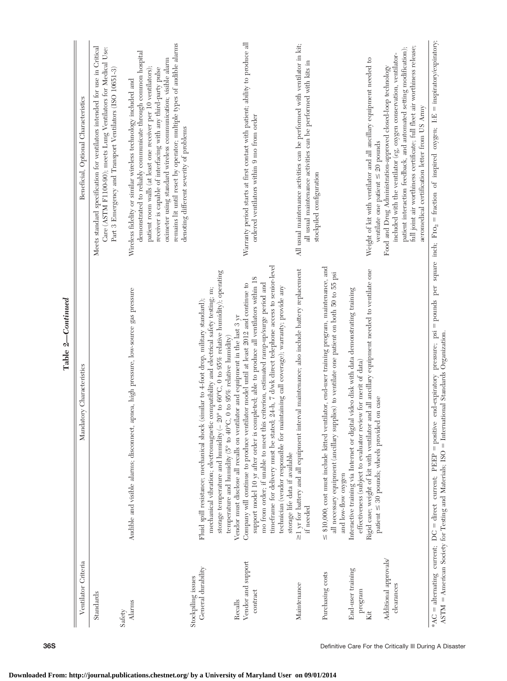|                                           | Table 2—Continued                                                                                                                                                                                                                                                                                                                                                                                                                                                                                                                                                                 |                                                                                                                                                                                                                                                                                                                                                                                                                                                      |
|-------------------------------------------|-----------------------------------------------------------------------------------------------------------------------------------------------------------------------------------------------------------------------------------------------------------------------------------------------------------------------------------------------------------------------------------------------------------------------------------------------------------------------------------------------------------------------------------------------------------------------------------|------------------------------------------------------------------------------------------------------------------------------------------------------------------------------------------------------------------------------------------------------------------------------------------------------------------------------------------------------------------------------------------------------------------------------------------------------|
| Ventilator Criteria                       | Mandatory Characteristics                                                                                                                                                                                                                                                                                                                                                                                                                                                                                                                                                         | Beneficial, Optional Characteristics                                                                                                                                                                                                                                                                                                                                                                                                                 |
| Standards<br>Safety                       |                                                                                                                                                                                                                                                                                                                                                                                                                                                                                                                                                                                   | Meets standard specification for ventilators intended for use in Critical<br>Care (ASTM F1100-90); meets Lung Ventilators for Medical Use:<br>Part 3 Emergency and Transport Ventilators (ISO 10651-3                                                                                                                                                                                                                                                |
| <b>Alarms</b>                             | Audible and visible alarms; disconnect, apnea, high pressure, low-source gas pressure                                                                                                                                                                                                                                                                                                                                                                                                                                                                                             | remains lit until reset by operator; multiple types of audible alarms<br>demonstrated to reliably communicate through common hospital<br>oximeter using standard wireless communication; visible alarm<br>receiver is capable of interfacing with any third-party pulse<br>patient room walls (at least one receiver per 10 ventilators)<br>Wireless fidelity or similar wireless technology included and<br>denoting different severity of problems |
| General durability<br>Stockpiling issues  | storage temperature and humidity ( $-20^{\circ}$ to $60^{\circ}\text{C}$ , 0 to 95% relative humidity); operating<br>mechanical vibration; electromagnetic compatibility and electrical safety testing; m;<br>Fluid spill resistance; mechanical shock (similar to 4-foot drop, military standard);<br>temperature and humidity ( $5^{\circ}$ to $40^{\circ}\text{C}$ , 0 to $95\%$ relative humidity)                                                                                                                                                                            |                                                                                                                                                                                                                                                                                                                                                                                                                                                      |
| Vendor and support<br>contract<br>Recalls | timeframe for delivery must be stated; 24-h, 7 d/wk direct telephone access to senior-level<br>support model 10 yr after order is completed; able to produce all ventilators within 18<br>mo from order; if unable to meet this criterion, estimated ramp-up/surge period and<br>Company will continue to produce ventilator model until at least 2012 and continue to<br>technician (vendor responsible for maintaining call coverage); warranty; provide any<br>Vendor must disclose all recalls on ventilator and equipment in the last 3 yr<br>storage life data if available | Warranty period starts at first contact with patient; ability to produce all<br>ordered ventilators within 9 mo from order                                                                                                                                                                                                                                                                                                                           |
| Maintenance                               | interval maintenance; also include battery replacement<br>$\geq$ 1 yr for battery and all equipment<br>if needed                                                                                                                                                                                                                                                                                                                                                                                                                                                                  | All usual maintenance activities can be performed with ventilator in kit;<br>all usual maintenance activities can be performed with kits in<br>stockpiled configuration                                                                                                                                                                                                                                                                              |
| Purchasing costs                          | ventilator, end-user training program, maintenance, and<br>supplies) to ventilate one patient on both 50 to 55 psi<br>all necessary equipment (ancillary<br>$\leq$ \$10,000; cost must include kitted<br>and low-flow oxygen                                                                                                                                                                                                                                                                                                                                                      |                                                                                                                                                                                                                                                                                                                                                                                                                                                      |
| End-user training<br>program              | Interactive training via Internet or digital video disk with data demonstrating training<br>review for merit of data)<br>effectiveness (subject to evaluator                                                                                                                                                                                                                                                                                                                                                                                                                      |                                                                                                                                                                                                                                                                                                                                                                                                                                                      |
| Кit                                       | Rigid case; weight of kit with ventilator and all ancillary equipment needed to ventilate one<br>patient $\leq 30$ pounds; wheels provided on case                                                                                                                                                                                                                                                                                                                                                                                                                                | Weight of kit with ventilator and all ancillary equipment needed to<br>ventilate one patient $\leq 20$ pounds                                                                                                                                                                                                                                                                                                                                        |
| Additional approvals/<br>clearances       |                                                                                                                                                                                                                                                                                                                                                                                                                                                                                                                                                                                   | full joint air worthiness certificate; full fleet air worthiness release;<br>patient interaction feedback, and automated setting modification);<br>included with the ventilator (eg, oxygen conservation, ventilator-<br>Food and Drug Administration-approved closed-loop technology<br>aeromedical certification letter from US Army                                                                                                               |
|                                           | *AC = alternating current; DC = direct current; PEEP = positive end-expiratory pressure; psi = pounds per square inch; Fto <sub>2</sub> = fraction of inspired oxygen; I:E = inspiratory/expiratory;<br>ASTM $=$ American Society for Testing and Materials; ISO $=$ International Standards Organization.                                                                                                                                                                                                                                                                        |                                                                                                                                                                                                                                                                                                                                                                                                                                                      |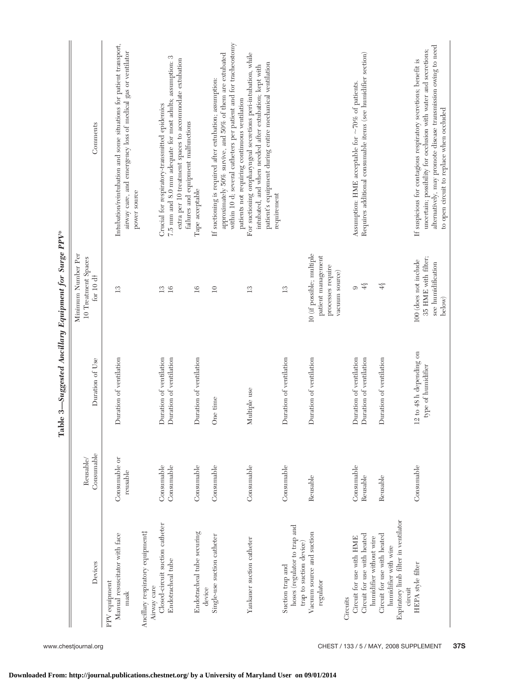| Devices                                                                                                | Consumable<br>Reusable    | Duration of Use                                    | Minimum Number Per<br>10 Treatment Spaces<br>for 10 $df$                               | Comments                                                                                                                                                                                                                                             |
|--------------------------------------------------------------------------------------------------------|---------------------------|----------------------------------------------------|----------------------------------------------------------------------------------------|------------------------------------------------------------------------------------------------------------------------------------------------------------------------------------------------------------------------------------------------------|
| Manual resuscitator with face<br>PPV equipment<br>$_{\rm mask}$                                        | Consumable or<br>reusable | Duration of ventilation                            | $\Xi$                                                                                  | Intubation/reintubation and some situations for patient transport,<br>airway care, and emergency loss of medical gas or ventilator<br>power source                                                                                                   |
| Ancillary respiratory equipment<br>Airway care                                                         |                           |                                                    |                                                                                        |                                                                                                                                                                                                                                                      |
| Closed-circuit suction catheter<br>Endotracheal tube                                                   | Consumable<br>Consumable  | Duration of ventilation<br>Duration of ventilation | 16<br>$\mathbf{13}$                                                                    | 7.5 mm and 8.0 mm adequate for most adults; assumption: 3<br>Crucial for respiratory-transmitted epidemics                                                                                                                                           |
|                                                                                                        |                           |                                                    |                                                                                        | extra per 10 treatment spaces to accommodate extubation<br>failures and equipment malfunctions                                                                                                                                                       |
| Endotracheal tube securing<br>device                                                                   | Consumable                | Duration of ventilation                            | $\overline{16}$                                                                        | Tape acceptable                                                                                                                                                                                                                                      |
| Single-use suction catheter                                                                            | Consumable                | One time                                           | $\square$                                                                              | within 10 d; several catheters per patient and for tracheostomy<br>approximately 50% survive, and 50% of them are extubated<br>If suctioning is required after extubation; assumption:                                                               |
| Yankauer suction catheter                                                                              | Consumable                | Multiple use                                       | $\Xi$                                                                                  | For suctioning oropharyngeal secretions peri-intubation, while<br>patient's equipment during entire mechanical ventilation<br>intubated, and when needed after extubation; kept with<br>patients not requiring continuous ventilation<br>requirement |
| hoses (regulator to trap and<br>trap to suction device)<br>Suction trap and                            | Consumable                | Duration of ventilation                            | $\mathbf{13}$                                                                          |                                                                                                                                                                                                                                                      |
| Vacuum source and suction<br>regulator                                                                 | Reusable                  | Duration of ventilation                            | 10 (if possible; multiple<br>patient management<br>processes require<br>vacuum source) |                                                                                                                                                                                                                                                      |
| Circuits                                                                                               |                           |                                                    |                                                                                        |                                                                                                                                                                                                                                                      |
| Circuit for use with heated<br>humidifier without wire<br>Circuit for use with HME                     | Consumable<br>Reusable    | Duration of ventilation<br>Duration of ventilation | $4\,$<br>ග                                                                             | Requires additional consumable items (see humidifier section)<br>Assumption: HME acceptable for $\sim 70\%$ of patients.                                                                                                                             |
| Expiratory limb filter in ventilator<br>Circuit for use with heated<br>humidifier with wire<br>circuit | Reusable                  | Duration of ventilation                            | $4\%$                                                                                  |                                                                                                                                                                                                                                                      |
| HEPA style filter                                                                                      | Consumable                | 12 to 48 h depending on<br>type of humidifier      | 35 HME with filter;<br>100 (does not include<br>see humidification<br>below)           | alternatively, may promote disease transmission owing to need<br>uncertain; possibility for occlusion with water and secretions;<br>If suspicious for contagious respiratory secretions; benefit is<br>to open circuit to replace when occluded      |

Table 3-Suggested Ancillary Equipment for Surge PPV\* **Table 3—***Suggested Ancillary Equipment for Surge PPV*\*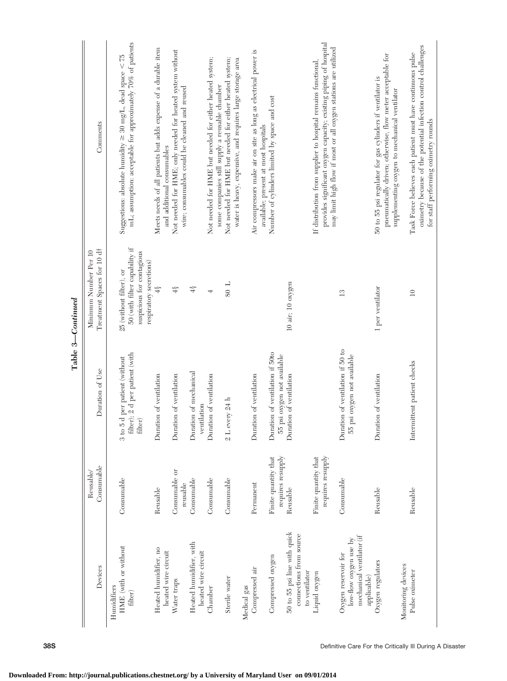|                                                                                            |                                           |                                                                              | Table 3—Continued                                                                                                |                                                                                                                                                                                                       |
|--------------------------------------------------------------------------------------------|-------------------------------------------|------------------------------------------------------------------------------|------------------------------------------------------------------------------------------------------------------|-------------------------------------------------------------------------------------------------------------------------------------------------------------------------------------------------------|
|                                                                                            | Reusable/                                 |                                                                              | Minimum Number Per 10                                                                                            |                                                                                                                                                                                                       |
| Devices                                                                                    | Consumable                                | Duration of Use                                                              | Treatment Spaces for 10 d <sup>†</sup>                                                                           | Comments                                                                                                                                                                                              |
| ${\rm HME}$ (with or without<br>Humidifiers<br>filter)                                     | Consumable                                | filter); 2 d per patient (with<br>3 to 5 d per patient (without<br>filter)   | 50 (with filter capability if<br>suspicious for contagious<br>respiratory secretions)<br>25 (without filter), or | mL; assumption: acceptable for approximately 70% of patients<br>Suggestions: absolute humidity $\geq 30$ mg/L, dead space $\lt 75$                                                                    |
| Heated humidifier, no<br>heated wire circuit                                               | Reusable                                  | Duration of ventilation                                                      | $4\%$                                                                                                            | Meets needs of all patients but adds expense of a durable item<br>and additional consumables                                                                                                          |
| Water traps                                                                                | Consumable or<br>$\rm{reusable}$          | Duration of ventilation                                                      | $4\sqrt{2}$                                                                                                      | Not needed for HME; only needed for heated system without<br>wire; consumables could be cleaned and reused                                                                                            |
| Heated humidifier, with<br>heated wire circuit                                             | Consumable                                | Duration of mechanical<br>ventilation                                        | $4\%$                                                                                                            |                                                                                                                                                                                                       |
| Chamber                                                                                    | Consumable                                | Duration of ventilation                                                      | 4                                                                                                                | Not needed for HME but needed for either heated system;<br>some companies still supply a reusable chamber                                                                                             |
| Sterile water                                                                              | Consumable                                | every $24~\mathrm{h}$<br>$\frac{1}{2}$                                       | $108$                                                                                                            | Not needed for HME but needed for either heated system;<br>water is heavy, expensive, and requires large storage area                                                                                 |
| Compressed air<br>Medical gas                                                              | Permanent                                 | Duration of ventilation                                                      |                                                                                                                  | Air compressors make air on site as long as electrical power is                                                                                                                                       |
| Compressed oxygen                                                                          | requires resupply<br>Finite quantity that | Duration of ventilation if 50to<br>$55\,\,\mathrm{psi}$ oxygen not available |                                                                                                                  | Number of cylinders limited by space and cost<br>available; present at most hospitals                                                                                                                 |
| 50 to 55 psi line with quick<br>connections from source<br>to ventilator                   | Reusable                                  | Duration of ventilation                                                      | 10 air; 10 oxygen                                                                                                |                                                                                                                                                                                                       |
| Liquid oxygen                                                                              | requires resupply<br>Finite quantity that |                                                                              |                                                                                                                  | provides significant oxygen capacity; existing piping of hospital<br>may limit high flow if most or all oxygen stations are utilized<br>If distribution from supplier to hospital remains functional, |
| mechanical ventilator (if<br>low-flow oxygen use by<br>Oxygen reservoir for<br>applicable) | Consumable                                | Duration of ventilation if 50 to<br>55 psi oxygen not available              | 13                                                                                                               |                                                                                                                                                                                                       |
| Oxygen regulators                                                                          | Reusable                                  | Duration of ventilation                                                      | 1 per ventilator                                                                                                 | pneumatically driven; otherwise, flow meter acceptable for<br>50 to 55 psi regulator for gas cylinders if ventilator is<br>supplementing oxygen to mechanical ventilator                              |
| Monitoring devices<br>Pulse oximeter                                                       | Reusable                                  | Intermittent patient checks                                                  | $\overline{10}$                                                                                                  | oximetry because of the potential infection control challenges<br>Task Force believes each patient must have continuous pulse<br>for staff performing oximetry rounds                                 |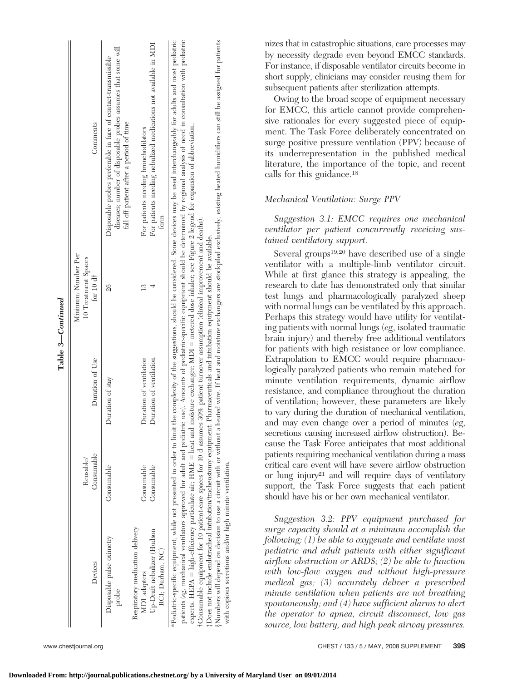| Devices                                                                                                  | Consumable<br>Reusable/  | Duration of Use                                    | Minimum Number Per<br>10 Treatment Spaces<br>for $10d$ <sup><math>\dagger</math></sup>                                                        | Comments                                                                                                                                                                                                                    |
|----------------------------------------------------------------------------------------------------------|--------------------------|----------------------------------------------------|-----------------------------------------------------------------------------------------------------------------------------------------------|-----------------------------------------------------------------------------------------------------------------------------------------------------------------------------------------------------------------------------|
| Disposable pulse oximetry<br>probe                                                                       | Consumable               | Duration of stay                                   | $\frac{8}{2}$                                                                                                                                 | diseases; number of disposable probes assumes that some will<br>Disposable probes preferable in face of contact-transmissible<br>fall off patient after a period of time                                                    |
| Respiratory medication delivery<br>Up-Draft nebulizer (Hudson<br>RCI; Durham, NC)<br><b>ADI</b> adapters | Consumable<br>Consumable | Duration of ventilation<br>Duration of ventilation | ≘                                                                                                                                             | For patients needing nebulized medications not available in MDI<br>For patients needing bronchodilators<br>torm                                                                                                             |
|                                                                                                          | .<br>.<br>.              |                                                    | $\frac{1}{2}$ , $\frac{1}{2}$ , $\frac{1}{2}$ , $\frac{1}{2}$ , $\frac{1}{2}$ , $\frac{1}{2}$ , $\frac{1}{2}$ , $\frac{1}{2}$ , $\frac{1}{2}$ | Pediatric-specific equipment, while not presented in order to limit the complexity of the suggestions, should be considered. Some devices may be used interchangeably for adults and most pediatric<br>$\ddot{\phantom{a}}$ |

 $Table 3—Continued$ **Table 3—***Continued*

 $\mathbb{I}$ 

 $\overline{\phantom{a}}$ 

 $\overline{D}$ 

 $|\ddot{\mathrm{f}}|$ \*Pediatric-specific equipment, while not presented in order to limit the complexity of the suggestions, should be considered. Some devices may be used interchangeably for adults and most pediatric patients (eg, mechanical ventilators approved for adult and pediatric use). Amounts of pediatric-specific equipment should be determined by regional analysis of need in consultation with pediatric patients (*eg*, mechanical ventilators approved for adult and pediatric use). Amounts of pediatric-specific equipment should be determined by regional analysis of need in consultation with pediatric Numbers will depend on decision to use a circuit with or without a heated wire. If heat and moisture exchangers are stockpiled exclusively, existing heated humidifiers can still be assigned for patients §Numbers will depend on decision to use a circuit with or without a heated wire. If heat and moisture exchangers are stockpiled exclusively, existing heated humidifiers can still be assigned for patients metered dose inhaler; see Figure 2 legend for expansion of abbreviation. Consumable equipment for 10 patient-care spaces for 10 d assumes 30% patient turnover assumption (clinical improvement and deaths). †Consumable equipment for 10 patient-care spaces for 10 d assumes 30% patient turnover assumption (clinical improvement and deaths). Does not include endotracheal intubation/tracheostomy equipment. Pharmaceuticals and intubation equipment should be available. ‡Does not include endotracheal intubation/tracheostomy equipment. Pharmaceuticals and intubation equipment should be available. heat and moisture exchanger; MDI with copious secretions and/or high minute ventilation. high-efficiency particulate air; HME with copious secretions and/or high minute ventilation experts. HEPA

nizes that in catastrophic situations, care processes may by necessity degrade even beyond EMCC standards. For instance, if disposable ventilator circuits become in short supply, clinicians may consider reusing them for subsequent patients after sterilization attempts.

Owing to the broad scope of equipment necessary for EMCC, this article cannot provide comprehensive rationales for every suggested piece of equipment. The Task Force deliberately concentrated on surge positive pressure ventilation (PPV) because of its underrepresentation in the published medical literature, the importance of the topic, and recent calls for this guidance.18

## *Mechanical Ventilation: Surge PPV*

*Suggestion 3.1: EMCC requires one mechanical ventilator per patient concurrently receiving sustained ventilatory support.*

Several groups $19,20$  have described use of a single ventilator with a multiple-limb ventilator circuit. While at first glance this strategy is appealing, the research to date has demonstrated only that similar test lungs and pharmacologically paralyzed sheep with normal lungs can be ventilated by this approach. Perhaps this strategy would have utility for ventilating patients with normal lungs (*eg*, isolated traumatic brain injury) and thereby free additional ventilators for patients with high resistance or low compliance. Extrapolation to EMCC would require pharmacologically paralyzed patients who remain matched for minute ventilation requirements, dynamic airflow resistance, and compliance throughout the duration of ventilation; however, these parameters are likely to vary during the duration of mechanical ventilation, and may even change over a period of minutes (*eg*, secretions causing increased airflow obstruction). Because the Task Force anticipates that most additional patients requiring mechanical ventilation during a mass critical care event will have severe airflow obstruction or lung injury<sup>21</sup> and will require days of ventilatory support, the Task Force suggests that each patient should have his or her own mechanical ventilator.

*Suggestion 3.2: PPV equipment purchased for surge capacity should at a minimum accomplish the following: (1) be able to oxygenate and ventilate most pediatric and adult patients with either significant airflow obstruction or ARDS; (2) be able to function with low-flow oxygen and without high-pressure medical gas; (3) accurately deliver a prescribed minute ventilation when patients are not breathing spontaneously; and (4) have sufficient alarms to alert the operator to apnea, circuit disconnect, low gas source, low battery, and high peak airway pressures.*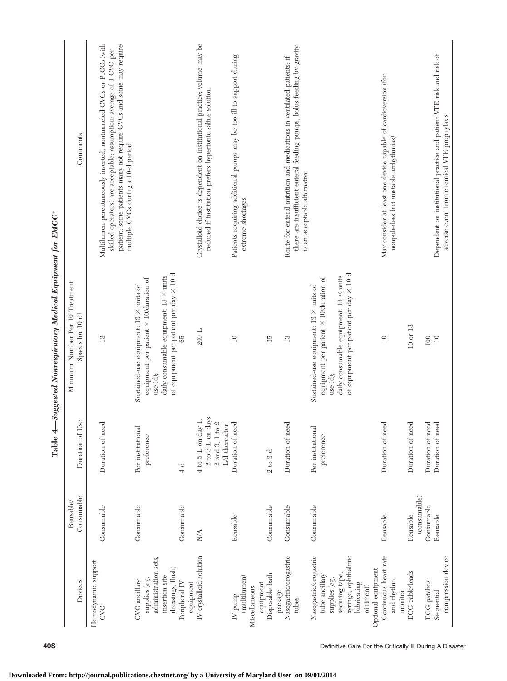|                                                              | Comments                                                        | Multilumen percutaneously inserted, nontunneled CVCs or PICCs (with<br>patient; some patients many not require CVCs and some may require<br>skilled operators) are acceptable; assumption: average of 1 CVC per<br>multiple CVCs during a 10-d period |                                                                                                                                                                                                       | Crystalloid choice is dependent on institutional practice; volume may be<br>reduced if institution prefers hypertonic saline solution | Patients requiring additional pumps may be too ill to support during<br>extreme shortages |                                                          | there are insufficient enteral feeding pumps, bolus feeding by gravity<br>Route for enteral nutrition and medications in ventilated patients; if<br>is an acceptable alternative |                                                                                                                                                                                                 | May consider at least one device capable of cardioversion (for<br>nonpulseless but unstable arrhythmias) |                         | Dependent on institutional practice and patient VTE risk and risk of<br>adverse event from chemical VTE prophylaxis |
|--------------------------------------------------------------|-----------------------------------------------------------------|-------------------------------------------------------------------------------------------------------------------------------------------------------------------------------------------------------------------------------------------------------|-------------------------------------------------------------------------------------------------------------------------------------------------------------------------------------------------------|---------------------------------------------------------------------------------------------------------------------------------------|-------------------------------------------------------------------------------------------|----------------------------------------------------------|----------------------------------------------------------------------------------------------------------------------------------------------------------------------------------|-------------------------------------------------------------------------------------------------------------------------------------------------------------------------------------------------|----------------------------------------------------------------------------------------------------------|-------------------------|---------------------------------------------------------------------------------------------------------------------|
| Table 4–Suggested Nonrespiratory Medical Equipment for EMCC* | Minimum Number Per 10 Treatment<br>Spaces for 10 d <sup>+</sup> | $\overline{13}$                                                                                                                                                                                                                                       | of equipment per patient per day × 10 d<br>daily consumable equipment: $13 \times units$<br>equipment per patient × 10/duration of<br>Sustained-use equipment: $13 \times \text{units of}$<br>use(d); | $200$ L<br>65                                                                                                                         | $\overline{10}$                                                                           | 33                                                       | 13                                                                                                                                                                               | of equipment per patient per day $\times$ 10 d<br>daily consumable equipment: 13 × units<br>equipment per patient × 10/duration of<br>Sustained-use equipment: $13 \times$ units of<br>use (d); | $\Box$                                                                                                   | $10$ or $13\,$          | $100\,$<br>$\frac{1}{2}$                                                                                            |
|                                                              | Use<br>Duration of                                              | Duration of need                                                                                                                                                                                                                                      | Per institutional<br>preference                                                                                                                                                                       | $2$ to $3$ L on days<br>$4$ to $5$ L on day 1,<br>$\frac{1}{4}$                                                                       | $2$ and $3$ 1 to $2$<br>Duration of need<br>$\operatorname{L/d}$ thereafter               | $2$ to 3 d                                               | Duration of need                                                                                                                                                                 | Per institutional<br>preference                                                                                                                                                                 | Duration of need                                                                                         | Duration of need        | Duration of need<br>Duration of need                                                                                |
|                                                              | Consumable<br>Reusable/                                         | Consumable                                                                                                                                                                                                                                            | Consumable                                                                                                                                                                                            | Consumable<br>$\stackrel{\triangle}{\scriptstyle\sim}$                                                                                | Reusable                                                                                  | Consumable                                               | Consumable                                                                                                                                                                       | Consumable                                                                                                                                                                                      | Reusable                                                                                                 | (cosumable)<br>Reusable | Consumable<br>Reusable                                                                                              |
|                                                              | Devices                                                         | Hemodynamic support<br>CVC                                                                                                                                                                                                                            | administration sets,<br>dressings, flush)<br>insertion site<br>supplies (eg,<br>CVC ancillary                                                                                                         | IV crystalloid solution<br>Peripheral IV<br>equipment                                                                                 | (multipthen)<br>$\hbox{I\hskip-2pt V}$ pump                                               | Disposable bath<br>equipment<br>Miscellaneous<br>package | Nasogastric/orogastric<br>tubes                                                                                                                                                  | syringe, ophthalmic<br>Nasogastric/orogastric<br>Optional equipment<br>tube ancillary<br>securing tape,<br>supplies (eg,<br>lubricating<br>ointment                                             | Continuous heart rate<br>and rhythm<br>monitor                                                           | ECG cable/leads         | compression device<br>ECG patches<br>Sequential                                                                     |

**40S** Definitive Care For the Critically III During A Disaster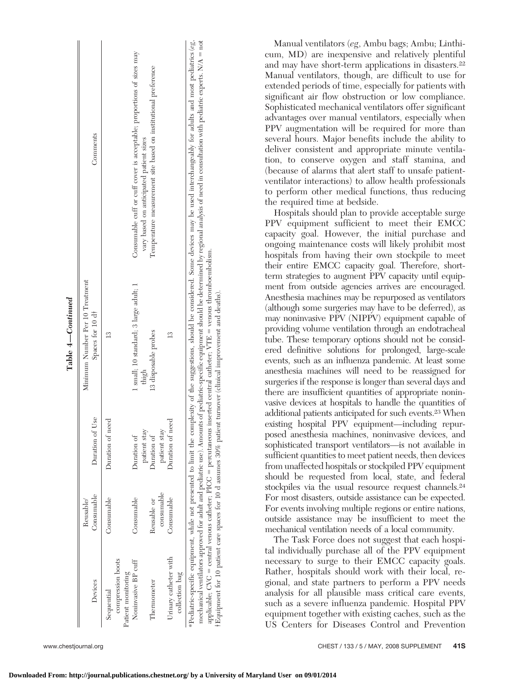|                                           |                          |                                  | Table 4–Continued                                               |                                                                                                                                                                                                                                                                                                                                                                                                                |
|-------------------------------------------|--------------------------|----------------------------------|-----------------------------------------------------------------|----------------------------------------------------------------------------------------------------------------------------------------------------------------------------------------------------------------------------------------------------------------------------------------------------------------------------------------------------------------------------------------------------------------|
| Devices                                   | Consumable<br>Recusable  | Duration of Use                  | Minimum Number Per 10 Treatment<br>Spaces for 10 d <sup>+</sup> | Comments                                                                                                                                                                                                                                                                                                                                                                                                       |
| compression boots<br>Sequential           | Consumable               | Duration of need                 |                                                                 |                                                                                                                                                                                                                                                                                                                                                                                                                |
| Noninvasive BP cuff<br>Patient monitoring | Consumable               | Duration of                      | 1 small; 10 standard; 3 large adult; 1<br>thigh                 | Consumable cuff or cuff cover is acceptable; proportions of sizes may<br>vary based on anticipated patient sizes                                                                                                                                                                                                                                                                                               |
| Thermometer                               | Reusable or              | patient stay<br>Duration of      | 13 disposable probes                                            | Temperature measurement site based on institutional preference                                                                                                                                                                                                                                                                                                                                                 |
| Urinary catheter with<br>collection bag   | consumable<br>Consumable | Duration of need<br>patient stay |                                                                 |                                                                                                                                                                                                                                                                                                                                                                                                                |
|                                           |                          |                                  |                                                                 | mechanical ventilators approved for adult and pediatric use). Amounts of pediatric-specific equipment should be determined by regional analysis of need in consultation with pediatric experts. N/A = not<br>*Pediatric-specific equipment, while not presented to limit the complexity of the suggestions, should be considered. Some devices may be used interchangeably for adults and most pediatrics (eg, |

Manual ventilators (*eg*, Ambu bags; Ambu; Linthicum, MD) are inexpensive and relatively plentiful and may have short-term applications in disasters.<sup>22</sup> Manual ventilators, though, are difficult to use for extended periods of time, especially for patients with significant air flow obstruction or low compliance. Sophisticated mechanical ventilators offer significant advantages over manual ventilators, especially when PPV augmentation will be required for more than several hours. Major benefits include the ability to deliver consistent and appropriate minute ventilation, to conserve oxygen and staff stamina, and (because of alarms that alert staff to unsafe patientventilator interactions) to allow health professionals to perform other medical functions, thus reducing the required time at bedside.

Hospitals should plan to provide acceptable surge PPV equipment sufficient to meet their EMCC capacity goal. However, the initial purchase and ongoing maintenance costs will likely prohibit most hospitals from having their own stockpile to meet their entire EMCC capacity goal. Therefore, shortterm strategies to augment PPV capacity until equipment from outside agencies arrives are encouraged. Anesthesia machines may be repurposed as ventilators (although some surgeries may have to be deferred), as may noninvasive PPV (NIPPV) equipment capable of providing volume ventilation through an endotracheal tube. These temporary options should not be considered definitive solutions for prolonged, large-scale events, such as an influenza pandemic. At least some anesthesia machines will need to be reassigned for surgeries if the response is longer than several days and there are insufficient quantities of appropriate noninvasive devices at hospitals to handle the quantities of additional patients anticipated for such events.23 When existing hospital PPV equipment—including repurposed anesthesia machines, noninvasive devices, and sophisticated transport ventilators—is not available in sufficient quantities to meet patient needs, then devices from unaffected hospitals or stockpiled PPV equipment should be requested from local, state, and federal stockpiles via the usual resource request channels.<sup>24</sup> For most disasters, outside assistance can be expected. For events involving multiple regions or entire nations, outside assistance may be insufficient to meet the mechanical ventilation needs of a local community.

The Task Force does not suggest that each hospital individually purchase all of the PPV equipment necessary to surge to their EMCC capacity goals. Rather, hospitals should work with their local, regional, and state partners to perform a PPV needs analysis for all plausible mass critical care events, such as a severe influenza pandemic. Hospital PPV equipment together with existing caches, such as the US Centers for Diseases Control and Prevention

applicable; CVC

central venous catheter; PICC

percutaneous inserted central catheter; VTE

†Equipment for 10 patient care spaces for 10 d assumes 30% patient turnover (clinical improvement and deaths).

Equipment for 10 patient care spaces for 10 d assumes 30% patient turnover (clinical improvement and deaths)

venous thromboembolism.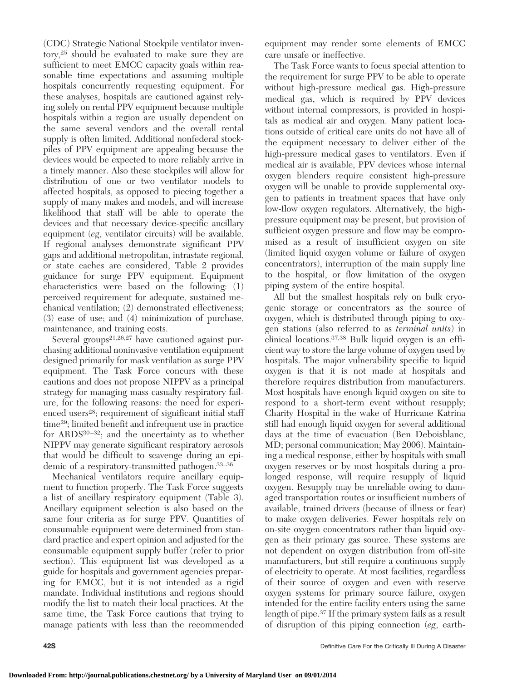(CDC) Strategic National Stockpile ventilator inventory,25 should be evaluated to make sure they are sufficient to meet EMCC capacity goals within reasonable time expectations and assuming multiple hospitals concurrently requesting equipment. For these analyses, hospitals are cautioned against relying solely on rental PPV equipment because multiple hospitals within a region are usually dependent on the same several vendors and the overall rental supply is often limited. Additional nonfederal stockpiles of PPV equipment are appealing because the devices would be expected to more reliably arrive in a timely manner. Also these stockpiles will allow for distribution of one or two ventilator models to affected hospitals, as opposed to piecing together a supply of many makes and models, and will increase likelihood that staff will be able to operate the devices and that necessary device-specific ancillary equipment (*eg*, ventilator circuits) will be available. If regional analyses demonstrate significant PPV gaps and additional metropolitan, intrastate regional, or state caches are considered, Table 2 provides guidance for surge PPV equipment. Equipment characteristics were based on the following: (1) perceived requirement for adequate, sustained mechanical ventilation; (2) demonstrated effectiveness; (3) ease of use; and (4) minimization of purchase, maintenance, and training costs.

Several groups $21,26,27$  have cautioned against purchasing additional noninvasive ventilation equipment designed primarily for mask ventilation as surge PPV equipment. The Task Force concurs with these cautions and does not propose NIPPV as a principal strategy for managing mass casualty respiratory failure, for the following reasons: the need for experienced users<sup>28</sup>; requirement of significant initial staff time29; limited benefit and infrequent use in practice for ARDS<sup>30-32</sup>; and the uncertainty as to whether NIPPV may generate significant respiratory aerosols that would be difficult to scavenge during an epidemic of a respiratory-transmitted pathogen.33–36

Mechanical ventilators require ancillary equipment to function properly. The Task Force suggests a list of ancillary respiratory equipment (Table 3). Ancillary equipment selection is also based on the same four criteria as for surge PPV. Quantities of consumable equipment were determined from standard practice and expert opinion and adjusted for the consumable equipment supply buffer (refer to prior section). This equipment list was developed as a guide for hospitals and government agencies preparing for EMCC, but it is not intended as a rigid mandate. Individual institutions and regions should modify the list to match their local practices. At the same time, the Task Force cautions that trying to manage patients with less than the recommended equipment may render some elements of EMCC care unsafe or ineffective.

The Task Force wants to focus special attention to the requirement for surge PPV to be able to operate without high-pressure medical gas. High-pressure medical gas, which is required by PPV devices without internal compressors, is provided in hospitals as medical air and oxygen. Many patient locations outside of critical care units do not have all of the equipment necessary to deliver either of the high-pressure medical gases to ventilators. Even if medical air is available, PPV devices whose internal oxygen blenders require consistent high-pressure oxygen will be unable to provide supplemental oxygen to patients in treatment spaces that have only low-flow oxygen regulators. Alternatively, the highpressure equipment may be present, but provision of sufficient oxygen pressure and flow may be compromised as a result of insufficient oxygen on site (limited liquid oxygen volume or failure of oxygen concentrators), interruption of the main supply line to the hospital, or flow limitation of the oxygen piping system of the entire hospital.

All but the smallest hospitals rely on bulk cryogenic storage or concentrators as the source of oxygen, which is distributed through piping to oxygen stations (also referred to as *terminal units*) in clinical locations.37,38 Bulk liquid oxygen is an efficient way to store the large volume of oxygen used by hospitals. The major vulnerability specific to liquid oxygen is that it is not made at hospitals and therefore requires distribution from manufacturers. Most hospitals have enough liquid oxygen on site to respond to a short-term event without resupply; Charity Hospital in the wake of Hurricane Katrina still had enough liquid oxygen for several additional days at the time of evacuation (Ben Deboisblanc, MD; personal communication; May 2006). Maintaining a medical response, either by hospitals with small oxygen reserves or by most hospitals during a prolonged response, will require resupply of liquid oxygen. Resupply may be unreliable owing to damaged transportation routes or insufficient numbers of available, trained drivers (because of illness or fear) to make oxygen deliveries. Fewer hospitals rely on on-site oxygen concentrators rather than liquid oxygen as their primary gas source. These systems are not dependent on oxygen distribution from off-site manufacturers, but still require a continuous supply of electricity to operate. At most facilities, regardless of their source of oxygen and even with reserve oxygen systems for primary source failure, oxygen intended for the entire facility enters using the same length of pipe.37 If the primary system fails as a result of disruption of this piping connection (*eg*, earth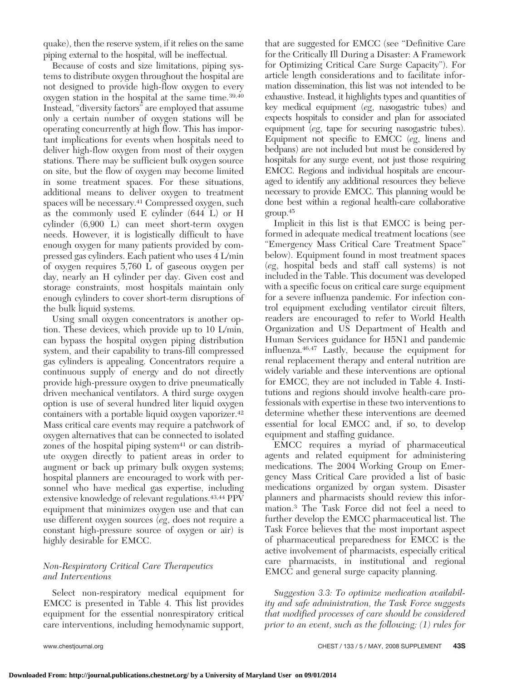quake), then the reserve system, if it relies on the same piping external to the hospital, will be ineffectual.

Because of costs and size limitations, piping systems to distribute oxygen throughout the hospital are not designed to provide high-flow oxygen to every oxygen station in the hospital at the same time.39,40 Instead, "diversity factors" are employed that assume only a certain number of oxygen stations will be operating concurrently at high flow. This has important implications for events when hospitals need to deliver high-flow oxygen from most of their oxygen stations. There may be sufficient bulk oxygen source on site, but the flow of oxygen may become limited in some treatment spaces. For these situations, additional means to deliver oxygen to treatment spaces will be necessary.41 Compressed oxygen, such as the commonly used E cylinder (644 L) or H cylinder (6,900 L) can meet short-term oxygen needs. However, it is logistically difficult to have enough oxygen for many patients provided by compressed gas cylinders. Each patient who uses 4 L/min of oxygen requires 5,760 L of gaseous oxygen per day, nearly an H cylinder per day. Given cost and storage constraints, most hospitals maintain only enough cylinders to cover short-term disruptions of the bulk liquid systems.

Using small oxygen concentrators is another option. These devices, which provide up to 10 L/min, can bypass the hospital oxygen piping distribution system, and their capability to trans-fill compressed gas cylinders is appealing. Concentrators require a continuous supply of energy and do not directly provide high-pressure oxygen to drive pneumatically driven mechanical ventilators. A third surge oxygen option is use of several hundred liter liquid oxygen containers with a portable liquid oxygen vaporizer.42 Mass critical care events may require a patchwork of oxygen alternatives that can be connected to isolated zones of the hospital piping system $41$  or can distribute oxygen directly to patient areas in order to augment or back up primary bulk oxygen systems; hospital planners are encouraged to work with personnel who have medical gas expertise, including extensive knowledge of relevant regulations.43,44 PPV equipment that minimizes oxygen use and that can use different oxygen sources (*eg*, does not require a constant high-pressure source of oxygen or air) is highly desirable for EMCC.

## *Non-Respiratory Critical Care Therapeutics and Interventions*

Select non-respiratory medical equipment for EMCC is presented in Table 4. This list provides equipment for the essential nonrespiratory critical care interventions, including hemodynamic support,

that are suggested for EMCC (see "Definitive Care for the Critically Ill During a Disaster: A Framework for Optimizing Critical Care Surge Capacity"). For article length considerations and to facilitate information dissemination, this list was not intended to be exhaustive. Instead, it highlights types and quantities of key medical equipment (*eg*, nasogastric tubes) and expects hospitals to consider and plan for associated equipment (*eg*, tape for securing nasogastric tubes). Equipment not specific to EMCC (*eg*, linens and bedpans) are not included but must be considered by hospitals for any surge event, not just those requiring EMCC. Regions and individual hospitals are encouraged to identify any additional resources they believe necessary to provide EMCC. This planning would be done best within a regional health-care collaborative group.45

Implicit in this list is that EMCC is being performed in adequate medical treatment locations (see "Emergency Mass Critical Care Treatment Space" below). Equipment found in most treatment spaces (*eg*, hospital beds and staff call systems) is not included in the Table. This document was developed with a specific focus on critical care surge equipment for a severe influenza pandemic. For infection control equipment excluding ventilator circuit filters, readers are encouraged to refer to World Health Organization and US Department of Health and Human Services guidance for H5N1 and pandemic influenza.46,47 Lastly, because the equipment for renal replacement therapy and enteral nutrition are widely variable and these interventions are optional for EMCC, they are not included in Table 4. Institutions and regions should involve health-care professionals with expertise in these two interventions to determine whether these interventions are deemed essential for local EMCC and, if so, to develop equipment and staffing guidance.

EMCC requires a myriad of pharmaceutical agents and related equipment for administering medications. The 2004 Working Group on Emergency Mass Critical Care provided a list of basic medications organized by organ system. Disaster planners and pharmacists should review this information.3 The Task Force did not feel a need to further develop the EMCC pharmaceutical list. The Task Force believes that the most important aspect of pharmaceutical preparedness for EMCC is the active involvement of pharmacists, especially critical care pharmacists, in institutional and regional EMCC and general surge capacity planning.

*Suggestion 3.3: To optimize medication availability and safe administration, the Task Force suggests that modified processes of care should be considered prior to an event, such as the following: (1) rules for*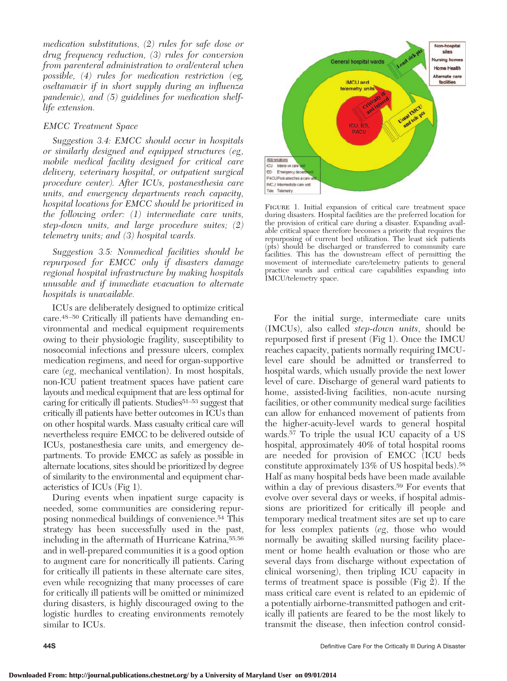*medication substitutions, (2) rules for safe dose or drug frequency reduction, (3) rules for conversion from parenteral administration to oral/enteral when possible, (4) rules for medication restriction (*eg*, oseltamavir if in short supply during an influenza pandemic), and (5) guidelines for medication shelflife extension.*

#### *EMCC Treatment Space*

*Suggestion 3.4: EMCC should occur in hospitals or similarly designed and equipped structures (eg, mobile medical facility designed for critical care delivery, veterinary hospital, or outpatient surgical procedure center). After ICUs, postanesthesia care units, and emergency departments reach capacity, hospital locations for EMCC should be prioritized in the following order: (1) intermediate care units, step-down units, and large procedure suites; (2) telemetry units; and (3) hospital wards.*

*Suggestion 3.5: Nonmedical facilities should be repurposed for EMCC only if disasters damage regional hospital infrastructure by making hospitals unusable and if immediate evacuation to alternate hospitals is unavailable.*

ICUs are deliberately designed to optimize critical care.48 –50 Critically ill patients have demanding environmental and medical equipment requirements owing to their physiologic fragility, susceptibility to nosocomial infections and pressure ulcers, complex medication regimens, and need for organ-supportive care (*eg*, mechanical ventilation). In most hospitals, non-ICU patient treatment spaces have patient care layouts and medical equipment that are less optimal for caring for critically ill patients. Studies<sup>51–53</sup> suggest that critically ill patients have better outcomes in ICUs than on other hospital wards. Mass casualty critical care will nevertheless require EMCC to be delivered outside of ICUs, postanesthesia care units, and emergency departments. To provide EMCC as safely as possible in alternate locations, sites should be prioritized by degree of similarity to the environmental and equipment characteristics of ICUs (Fig 1).

During events when inpatient surge capacity is needed, some communities are considering repurposing nonmedical buildings of convenience.54 This strategy has been successfully used in the past, including in the aftermath of Hurricane Katrina,55,56 and in well-prepared communities it is a good option to augment care for noncritically ill patients. Caring for critically ill patients in these alternate care sites, even while recognizing that many processes of care for critically ill patients will be omitted or minimized during disasters, is highly discouraged owing to the logistic hurdles to creating environments remotely similar to ICUs.



FIGURE 1. Initial expansion of critical care treatment space during disasters. Hospital facilities are the preferred location for the provision of critical care during a disaster. Expanding available critical space therefore becomes a priority that requires the repurposing of current bed utilization. The least sick patients (pts) should be discharged or transferred to community care facilities. This has the downstream effect of permitting the movement of intermediate care/telemetry patients to general practice wards and critical care capabilities expanding into IMCU/telemetry space.

For the initial surge, intermediate care units (IMCUs), also called *step-down units*, should be repurposed first if present (Fig 1). Once the IMCU reaches capacity, patients normally requiring IMCUlevel care should be admitted or transferred to hospital wards, which usually provide the next lower level of care. Discharge of general ward patients to home, assisted-living facilities, non-acute nursing facilities, or other community medical surge facilities can allow for enhanced movement of patients from the higher-acuity-level wards to general hospital wards.57 To triple the usual ICU capacity of a US hospital, approximately 40% of total hospital rooms are needed for provision of EMCC (ICU beds constitute approximately 13% of US hospital beds).58 Half as many hospital beds have been made available within a day of previous disasters.59 For events that evolve over several days or weeks, if hospital admissions are prioritized for critically ill people and temporary medical treatment sites are set up to care for less complex patients (*eg*, those who would normally be awaiting skilled nursing facility placement or home health evaluation or those who are several days from discharge without expectation of clinical worsening), then tripling ICU capacity in terms of treatment space is possible (Fig 2). If the mass critical care event is related to an epidemic of a potentially airborne-transmitted pathogen and critically ill patients are feared to be the most likely to transmit the disease, then infection control consid-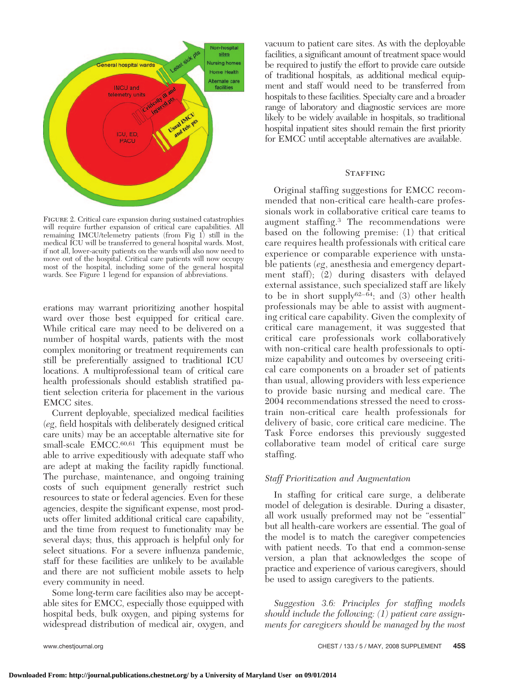

FIGURE 2. Critical care expansion during sustained catastrophies will require further expansion of critical care capabilities. All remaining IMCU/telemetry patients (from Fig 1) still in the medical ICU will be transferred to general hospital wards. Most, if not all, lower-acuity patients on the wards will also now need to move out of the hospital. Critical care patients will now occupy most of the hospital, including some of the general hospital wards. See Figure 1 legend for expansion of abbreviations.

erations may warrant prioritizing another hospital ward over those best equipped for critical care. While critical care may need to be delivered on a number of hospital wards, patients with the most complex monitoring or treatment requirements can still be preferentially assigned to traditional ICU locations. A multiprofessional team of critical care health professionals should establish stratified patient selection criteria for placement in the various EMCC sites.

Current deployable, specialized medical facilities (*eg*, field hospitals with deliberately designed critical care units) may be an acceptable alternative site for small-scale EMCC.<sup>60,61</sup> This equipment must be able to arrive expeditiously with adequate staff who are adept at making the facility rapidly functional. The purchase, maintenance, and ongoing training costs of such equipment generally restrict such resources to state or federal agencies. Even for these agencies, despite the significant expense, most products offer limited additional critical care capability, and the time from request to functionality may be several days; thus, this approach is helpful only for select situations. For a severe influenza pandemic, staff for these facilities are unlikely to be available and there are not sufficient mobile assets to help every community in need.

Some long-term care facilities also may be acceptable sites for EMCC, especially those equipped with hospital beds, bulk oxygen, and piping systems for widespread distribution of medical air, oxygen, and

vacuum to patient care sites. As with the deployable facilities, a significant amount of treatment space would be required to justify the effort to provide care outside of traditional hospitals, as additional medical equipment and staff would need to be transferred from hospitals to these facilities. Specialty care and a broader range of laboratory and diagnostic services are more likely to be widely available in hospitals, so traditional hospital inpatient sites should remain the first priority for EMCC until acceptable alternatives are available.

#### **STAFFING**

Original staffing suggestions for EMCC recommended that non-critical care health-care professionals work in collaborative critical care teams to augment staffing.3 The recommendations were based on the following premise: (1) that critical care requires health professionals with critical care experience or comparable experience with unstable patients (*eg*, anesthesia and emergency department staff); (2) during disasters with delayed external assistance, such specialized staff are likely to be in short supply<sup>62–64</sup>; and (3) other health professionals may be able to assist with augmenting critical care capability. Given the complexity of critical care management, it was suggested that critical care professionals work collaboratively with non-critical care health professionals to optimize capability and outcomes by overseeing critical care components on a broader set of patients than usual, allowing providers with less experience to provide basic nursing and medical care. The 2004 recommendations stressed the need to crosstrain non-critical care health professionals for delivery of basic, core critical care medicine. The Task Force endorses this previously suggested collaborative team model of critical care surge staffing.

#### *Staff Prioritization and Augmentation*

In staffing for critical care surge, a deliberate model of delegation is desirable. During a disaster, all work usually preformed may not be "essential" but all health-care workers are essential. The goal of the model is to match the caregiver competencies with patient needs. To that end a common-sense version, a plan that acknowledges the scope of practice and experience of various caregivers, should be used to assign caregivers to the patients.

*Suggestion 3.6: Principles for staffing models should include the following: (1) patient care assignments for caregivers should be managed by the most*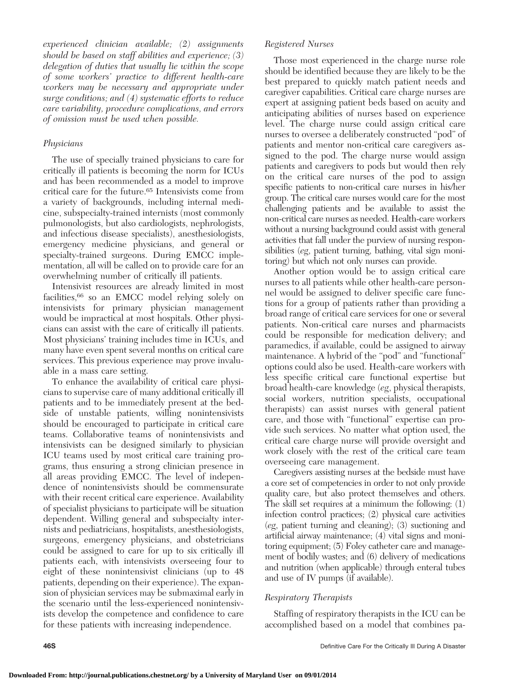*experienced clinician available; (2) assignments should be based on staff abilities and experience; (3) delegation of duties that usually lie within the scope of some workers' practice to different health-care workers may be necessary and appropriate under surge conditions; and (4) systematic efforts to reduce care variability, procedure complications, and errors of omission must be used when possible.*

#### *Physicians*

The use of specially trained physicians to care for critically ill patients is becoming the norm for ICUs and has been recommended as a model to improve critical care for the future.65 Intensivists come from a variety of backgrounds, including internal medicine, subspecialty-trained internists (most commonly pulmonologists, but also cardiologists, nephrologists, and infectious disease specialists), anesthesiologists, emergency medicine physicians, and general or specialty-trained surgeons. During EMCC implementation, all will be called on to provide care for an overwhelming number of critically ill patients.

Intensivist resources are already limited in most facilities,<sup>66</sup> so an EMCC model relying solely on intensivists for primary physician management would be impractical at most hospitals. Other physicians can assist with the care of critically ill patients. Most physicians' training includes time in ICUs, and many have even spent several months on critical care services. This previous experience may prove invaluable in a mass care setting.

To enhance the availability of critical care physicians to supervise care of many additional critically ill patients and to be immediately present at the bedside of unstable patients, willing nonintensivists should be encouraged to participate in critical care teams. Collaborative teams of nonintensivists and intensivists can be designed similarly to physician ICU teams used by most critical care training programs, thus ensuring a strong clinician presence in all areas providing EMCC. The level of independence of nonintensivists should be commensurate with their recent critical care experience. Availability of specialist physicians to participate will be situation dependent. Willing general and subspecialty internists and pediatricians, hospitalists, anesthesiologists, surgeons, emergency physicians, and obstetricians could be assigned to care for up to six critically ill patients each, with intensivists overseeing four to eight of these nonintensivist clinicians (up to 48 patients, depending on their experience). The expansion of physician services may be submaximal early in the scenario until the less-experienced nonintensivists develop the competence and confidence to care for these patients with increasing independence.

#### *Registered Nurses*

Those most experienced in the charge nurse role should be identified because they are likely to be the best prepared to quickly match patient needs and caregiver capabilities. Critical care charge nurses are expert at assigning patient beds based on acuity and anticipating abilities of nurses based on experience level. The charge nurse could assign critical care nurses to oversee a deliberately constructed "pod" of patients and mentor non-critical care caregivers assigned to the pod. The charge nurse would assign patients and caregivers to pods but would then rely on the critical care nurses of the pod to assign specific patients to non-critical care nurses in his/her group. The critical care nurses would care for the most challenging patients and be available to assist the non-critical care nurses as needed. Health-care workers without a nursing background could assist with general activities that fall under the purview of nursing responsibilities (*eg*, patient turning, bathing, vital sign monitoring) but which not only nurses can provide.

Another option would be to assign critical care nurses to all patients while other health-care personnel would be assigned to deliver specific care functions for a group of patients rather than providing a broad range of critical care services for one or several patients. Non-critical care nurses and pharmacists could be responsible for medication delivery; and paramedics, if available, could be assigned to airway maintenance. A hybrid of the "pod" and "functional" options could also be used. Health-care workers with less specific critical care functional expertise but broad health-care knowledge (*eg*, physical therapists, social workers, nutrition specialists, occupational therapists) can assist nurses with general patient care, and those with "functional" expertise can provide such services. No matter what option used, the critical care charge nurse will provide oversight and work closely with the rest of the critical care team overseeing care management.

Caregivers assisting nurses at the bedside must have a core set of competencies in order to not only provide quality care, but also protect themselves and others. The skill set requires at a minimum the following: (1) infection control practices; (2) physical care activities (*eg*, patient turning and cleaning); (3) suctioning and artificial airway maintenance; (4) vital signs and monitoring equipment; (5) Foley catheter care and management of bodily wastes; and (6) delivery of medications and nutrition (when applicable) through enteral tubes and use of IV pumps (if available).

#### *Respiratory Therapists*

Staffing of respiratory therapists in the ICU can be accomplished based on a model that combines pa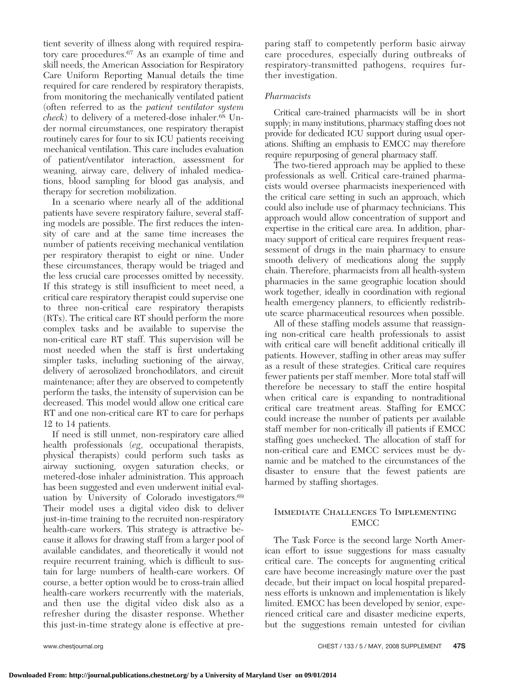tient severity of illness along with required respiratory care procedures.67 As an example of time and skill needs, the American Association for Respiratory Care Uniform Reporting Manual details the time required for care rendered by respiratory therapists, from monitoring the mechanically ventilated patient (often referred to as the *patient ventilator system check*) to delivery of a metered-dose inhaler.<sup>68</sup> Under normal circumstances, one respiratory therapist routinely cares for four to six ICU patients receiving mechanical ventilation. This care includes evaluation of patient/ventilator interaction, assessment for weaning, airway care, delivery of inhaled medications, blood sampling for blood gas analysis, and therapy for secretion mobilization.

In a scenario where nearly all of the additional patients have severe respiratory failure, several staffing models are possible. The first reduces the intensity of care and at the same time increases the number of patients receiving mechanical ventilation per respiratory therapist to eight or nine. Under these circumstances, therapy would be triaged and the less crucial care processes omitted by necessity. If this strategy is still insufficient to meet need, a critical care respiratory therapist could supervise one to three non-critical care respiratory therapists (RTs). The critical care RT should perform the more complex tasks and be available to supervise the non-critical care RT staff. This supervision will be most needed when the staff is first undertaking simpler tasks, including suctioning of the airway, delivery of aerosolized bronchodilators, and circuit maintenance; after they are observed to competently perform the tasks, the intensity of supervision can be decreased. This model would allow one critical care RT and one non-critical care RT to care for perhaps 12 to 14 patients.

If need is still unmet, non-respiratory care allied health professionals (*eg*, occupational therapists, physical therapists) could perform such tasks as airway suctioning, oxygen saturation checks, or metered-dose inhaler administration. This approach has been suggested and even underwent initial evaluation by University of Colorado investigators.69 Their model uses a digital video disk to deliver just-in-time training to the recruited non-respiratory health-care workers. This strategy is attractive because it allows for drawing staff from a larger pool of available candidates, and theoretically it would not require recurrent training, which is difficult to sustain for large numbers of health-care workers. Of course, a better option would be to cross-train allied health-care workers recurrently with the materials, and then use the digital video disk also as a refresher during the disaster response. Whether this just-in-time strategy alone is effective at preparing staff to competently perform basic airway care procedures, especially during outbreaks of respiratory-transmitted pathogens, requires further investigation.

## *Pharmacists*

Critical care-trained pharmacists will be in short supply; in many institutions, pharmacy staffing does not provide for dedicated ICU support during usual operations. Shifting an emphasis to EMCC may therefore require repurposing of general pharmacy staff.

The two-tiered approach may be applied to these professionals as well. Critical care-trained pharmacists would oversee pharmacists inexperienced with the critical care setting in such an approach, which could also include use of pharmacy technicians. This approach would allow concentration of support and expertise in the critical care area. In addition, pharmacy support of critical care requires frequent reassessment of drugs in the main pharmacy to ensure smooth delivery of medications along the supply chain. Therefore, pharmacists from all health-system pharmacies in the same geographic location should work together, ideally in coordination with regional health emergency planners, to efficiently redistribute scarce pharmaceutical resources when possible.

All of these staffing models assume that reassigning non-critical care health professionals to assist with critical care will benefit additional critically ill patients. However, staffing in other areas may suffer as a result of these strategies. Critical care requires fewer patients per staff member. More total staff will therefore be necessary to staff the entire hospital when critical care is expanding to nontraditional critical care treatment areas. Staffing for EMCC could increase the number of patients per available staff member for non-critically ill patients if EMCC staffing goes unchecked. The allocation of staff for non-critical care and EMCC services must be dynamic and be matched to the circumstances of the disaster to ensure that the fewest patients are harmed by staffing shortages.

## Immediate Challenges To Implementing EMCC

The Task Force is the second large North American effort to issue suggestions for mass casualty critical care. The concepts for augmenting critical care have become increasingly mature over the past decade, but their impact on local hospital preparedness efforts is unknown and implementation is likely limited. EMCC has been developed by senior, experienced critical care and disaster medicine experts, but the suggestions remain untested for civilian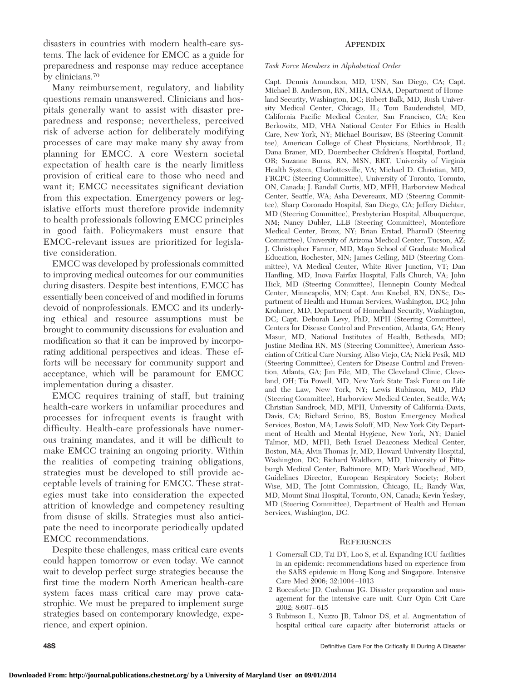disasters in countries with modern health-care systems. The lack of evidence for EMCC as a guide for preparedness and response may reduce acceptance by clinicians.70

Many reimbursement, regulatory, and liability questions remain unanswered. Clinicians and hospitals generally want to assist with disaster preparedness and response; nevertheless, perceived risk of adverse action for deliberately modifying processes of care may make many shy away from planning for EMCC. A core Western societal expectation of health care is the nearly limitless provision of critical care to those who need and want it; EMCC necessitates significant deviation from this expectation. Emergency powers or legislative efforts must therefore provide indemnity to health professionals following EMCC principles in good faith. Policymakers must ensure that EMCC-relevant issues are prioritized for legislative consideration.

EMCC was developed by professionals committed to improving medical outcomes for our communities during disasters. Despite best intentions, EMCC has essentially been conceived of and modified in forums devoid of nonprofessionals. EMCC and its underlying ethical and resource assumptions must be brought to community discussions for evaluation and modification so that it can be improved by incorporating additional perspectives and ideas. These efforts will be necessary for community support and acceptance, which will be paramount for EMCC implementation during a disaster.

EMCC requires training of staff, but training health-care workers in unfamiliar procedures and processes for infrequent events is fraught with difficulty. Health-care professionals have numerous training mandates, and it will be difficult to make EMCC training an ongoing priority. Within the realities of competing training obligations, strategies must be developed to still provide acceptable levels of training for EMCC. These strategies must take into consideration the expected attrition of knowledge and competency resulting from disuse of skills. Strategies must also anticipate the need to incorporate periodically updated EMCC recommendations.

Despite these challenges, mass critical care events could happen tomorrow or even today. We cannot wait to develop perfect surge strategies because the first time the modern North American health-care system faces mass critical care may prove catastrophic. We must be prepared to implement surge strategies based on contemporary knowledge, experience, and expert opinion.

#### **APPENDIX**

#### *Task Force Members in Alphabetical Order*

Capt. Dennis Amundson, MD, USN, San Diego, CA; Capt. Michael B. Anderson, RN, MHA, CNAA, Department of Homeland Security, Washington, DC; Robert Balk, MD, Rush University Medical Center, Chicago, IL; Tom Baudendistel, MD, California Pacific Medical Center, San Francisco, CA; Ken Berkowitz, MD, VHA National Center For Ethics in Health Care, New York, NY; Michael Bourisaw, BS (Steering Committee), American College of Chest Physicians, Northbrook, IL; Dana Braner, MD, Doernbecher Children's Hospital, Portland, OR; Suzanne Burns, RN, MSN, RRT, University of Virginia Health System, Charlottesville, VA; Michael D. Christian, MD, FRCPC (Steering Committee), University of Toronto, Toronto, ON, Canada; J. Randall Curtis, MD, MPH, Harborview Medical Center, Seattle, WA; Asha Devereaux, MD (Steering Committee), Sharp Coronado Hospital, San Diego, CA; Jeffery Dichter, MD (Steering Committee), Presbyterian Hospital, Albuquerque, NM; Nancy Dubler, LLB (Steering Committee), Montefiore Medical Center, Bronx, NY; Brian Erstad, PharmD (Steering Committee), University of Arizona Medical Center, Tucson, AZ; J. Christopher Farmer, MD, Mayo School of Graduate Medical Education, Rochester, MN; James Geiling, MD (Steering Committee), VA Medical Center, White River Junction, VT; Dan Hanfling, MD, Inova Fairfax Hospital, Falls Church, VA; John Hick, MD (Steering Committee), Hennepin County Medical Center, Minneapolis, MN; Capt. Ann Knebel, RN, DNSc, Department of Health and Human Services, Washington, DC; John Krohmer, MD, Department of Homeland Security, Washington, DC; Capt. Deborah Levy, PhD, MPH (Steering Committee), Centers for Disease Control and Prevention, Atlanta, GA; Henry Masur, MD, National Institutes of Health, Bethesda, MD; Justine Medina RN, MS (Steering Committee), American Association of Critical Care Nursing, Aliso Viejo, CA; Nicki Pesik, MD (Steering Committee), Centers for Disease Control and Prevention, Atlanta, GA; Jim Pile, MD, The Cleveland Clinic, Cleveland, OH; Tia Powell, MD, New York State Task Force on Life and the Law, New York, NY; Lewis Rubinson, MD, PhD (Steering Committee), Harborview Medical Center, Seattle, WA; Christian Sandrock, MD, MPH, University of California-Davis, Davis, CA; Richard Serino, BS, Boston Emergency Medical Services, Boston, MA; Lewis Soloff, MD, New York City Department of Health and Mental Hygiene, New York, NY; Daniel Talmor, MD, MPH, Beth Israel Deaconess Medical Center, Boston, MA; Alvin Thomas Jr, MD, Howard University Hospital, Washington, DC; Richard Waldhorn, MD, University of Pittsburgh Medical Center, Baltimore, MD; Mark Woodhead, MD, Guidelines Director, European Respiratory Society; Robert Wise, MD, The Joint Commission, Chicago, IL; Randy Wax, MD, Mount Sinai Hospital, Toronto, ON, Canada; Kevin Yeskey, MD (Steering Committee), Department of Health and Human Services, Washington, DC.

#### **REFERENCES**

- 1 Gomersall CD, Tai DY, Loo S, et al. Expanding ICU facilities in an epidemic: recommendations based on experience from the SARS epidemic in Hong Kong and Singapore. Intensive Care Med 2006; 32:1004 –1013
- 2 Roccaforte JD, Cushman JG. Disaster preparation and management for the intensive care unit. Curr Opin Crit Care 2002; 8:607– 615
- 3 Rubinson L, Nuzzo JB, Talmor DS, et al. Augmentation of hospital critical care capacity after bioterrorist attacks or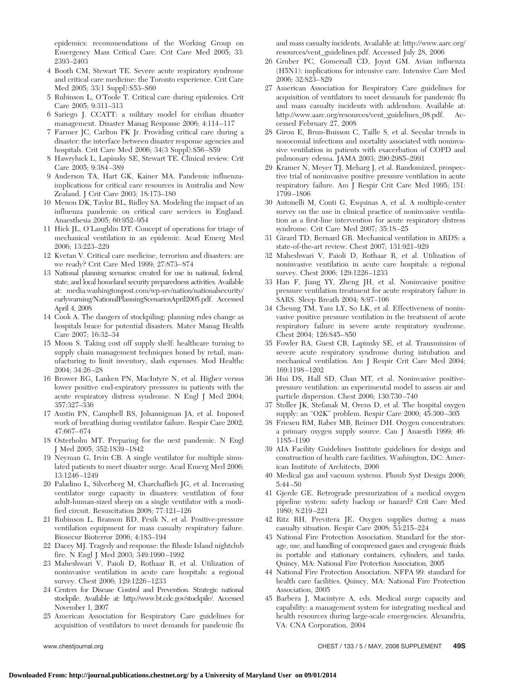epidemics: recommendations of the Working Group on Emergency Mass Critical Care. Crit Care Med 2005; 33: 2393–2403

- 4 Booth CM, Stewart TE. Severe acute respiratory syndrome and critical care medicine: the Toronto experience. Crit Care Med 2005; 33(1 Suppl):S53–S60
- 5 Rubinson L, O'Toole T. Critical care during epidemics. Crit Care 2005; 9:311–313
- 6 Sariego J. CCATT: a military model for civilian disaster management. Disaster Manag Response 2006; 4:114 –117
- 7 Farmer JC, Carlton PK Jr. Providing critical care during a disaster: the interface between disaster response agencies and hospitals. Crit Care Med 2006; 34(3 Suppl):S56 –S59
- 8 Hawryluck L, Lapinsky SE, Stewart TE. Clinical review. Crit Care 2005; 9:384 –389
- 9 Anderson TA, Hart GK, Kainer MA. Pandemic influenzaimplications for critical care resources in Australia and New Zealand. J Crit Care 2003; 18:173–180
- 10 Menon DK, Taylor BL, Ridley SA. Modeling the impact of an influenza pandemic on critical care services in England. Anaesthesia 2005; 60:952–954
- 11 Hick JL, O'Laughlin DT. Concept of operations for triage of mechanical ventilation in an epidemic. Acad Emerg Med 2006; 13:223–229
- 12 Kvetan V. Critical care medicine, terrorism and disasters: are we ready? Crit Care Med 1999; 27:873– 874
- 13 National planning scenarios: created for use in national, federal, state, and local homeland security preparedness activities. Available at: media.washingtonpost.com/wp-srv/nation/nationalsecurity/ earlywarning/NationalPlanningScenariosApril2005.pdf. Accessed April 4, 2008
- 14 Cook A. The dangers of stockpiling: planning rules change as hospitals brace for potential disasters. Mater Manag Health Care 2007; 16:32–34
- 15 Moon S. Taking cost off supply shelf: healthcare turning to supply chain management techniques honed by retail, manufacturing to limit inventory, slash expenses. Mod Healthc 2004; 34:26 –28
- 16 Brower RG, Lanken PN, MacIntyre N, et al. Higher versus lower positive end-expiratory pressures in patients with the acute respiratory distress syndrome. N Engl J Med 2004; 357:327–336
- 17 Austin PN, Campbell RS, Johannigman JA, et al. Imposed work of breathing during ventilator failure. Respir Care 2002; 47:667– 674
- 18 Osterholm MT. Preparing for the next pandemic. N Engl J Med 2005; 352:1839 –1842
- 19 Neyman G, Irvin CB. A single ventilator for multiple simulated patients to meet disaster surge. Acad Emerg Med 2006; 13:1246 –1249
- 20 Paladino L, Silverberg M, Charchaflieh JG, et al. Increasing ventilator surge capacity in disasters: ventilation of four adult-human-sized sheep on a single ventilator with a modified circuit. Resuscitation 2008; 77:121–126
- 21 Rubinson L, Branson RD, Pesik N, et al. Positive-pressure ventilation equipment for mass casualty respiratory failure. Biosecur Bioterror 2006; 4:183–194
- 22 Dacey MJ. Tragedy and response: the Rhode Island nightclub fire. N Engl J Med 2003; 349:1990 –1992
- 23 Maheshwari V, Paioli D, Rothaar R, et al. Utilization of noninvasive ventilation in acute care hospitals: a regional survey. Chest 2006; 129:1226 –1233
- 24 Centers for Disease Control and Prevention. Strategic national stockpile. Available at: http://www.bt.cdc.gov/stockpile/. Accessed November 1, 2007
- 25 American Association for Respiratory Care guidelines for acquisition of ventilators to meet demands for pandemic flu

and mass casualty incidents. Available at: http://www.aarc.org/ resources/vent\_guidelines.pdf. Accessed July 28, 2006

- 26 Gruber PC, Gomersall CD, Joynt GM. Avian influenza (H5N1): implications for intensive care. Intensive Care Med 2006; 32:823– 829
- 27 American Association for Respiratory Care guidelines for acquisition of ventilators to meet demands for pandemic flu and mass casualty incidents with addendum. Available at: http://www.aarc.org/resources/vent\_guidelines\_08.pdf. Accessed February 27, 2008
- 28 Girou E, Brun-Buisson C, Taille S, et al. Secular trends in nosocomial infections and mortality associated with noninvasive ventilation in patients with exacerbation of COPD and pulmonary edema. JAMA 2003; 290:2985–2991
- 29 Kramer N, Meyer TJ, Meharg J, et al. Randomized, prospective trial of noninvasive positive pressure ventilation in acute respiratory failure. Am J Respir Crit Care Med 1995; 151: 1799 –1806
- 30 Antonelli M, Conti G, Esquinas A, et al. A multiple-center survey on the use in clinical practice of noninvasive ventilation as a first-line intervention for acute respiratory distress syndrome. Crit Care Med 2007; 35:18 –25
- 31 Girard TD, Bernard GR. Mechanical ventilation in ARDS: a state-of-the-art review. Chest 2007; 131:921–929
- 32 Maheshwari V, Paioli D, Rothaar R, et al. Utilization of noninvasive ventilation in acute care hospitals: a regional survey. Chest 2006; 129:1226 –1233
- 33 Han F, Jiang YY, Zheng JH, et al. Noninvasive positive pressure ventilation treatment for acute respiratory failure in SARS. Sleep Breath 2004; 8:97–106
- 34 Cheung TM, Yam LY, So LK, et al. Effectiveness of noninvasive positive pressure ventilation in the treatment of acute respiratory failure in severe acute respiratory syndrome. Chest 2004; 126:845– 850
- 35 Fowler RA, Guest CB, Lapinsky SE, et al. Transmission of severe acute respiratory syndrome during intubation and mechanical ventilation. Am J Respir Crit Care Med 2004; 169:1198 –1202
- 36 Hui DS, Hall SD, Chan MT, et al. Noninvasive positivepressure ventilation: an experimental model to assess air and particle dispersion. Chest 2006; 130:730 –740
- 37 Stoller JK, Stefanak M, Orens D, et al. The hospital oxygen supply: an "O2K" problem. Respir Care 2000; 45:300 –305
- 38 Friesen RM, Raber MB, Reimer DH. Oxygen concentrators: a primary oxygen supply source. Can J Anaesth 1999; 46: 1185–1190
- 39 AIA Facility Guidelines Institute guidelines for design and construction of health care facilities. Washington, DC: American Institute of Architects, 2006
- 40 Medical gas and vacuum systems. Plumb Syst Design 2006;  $5:44 - 50$
- 41 Gjerde GE. Retrograde pressurization of a medical oxygen pipeline system: safety backup or hazard? Crit Care Med 1980; 8:219 –221
- 42 Ritz RH, Previtera JE. Oxygen supplies during a mass casualty situation. Respir Care 2008; 53:215–224
- 43 National Fire Protection Association. Standard for the storage, use, and handling of compressed gases and cryogenic fluids in portable and stationary containers, cylinders, and tanks. Quincy, MA: National Fire Protection Association, 2005
- 44 National Fire Protection Association. NFPA 99: standard for health care facilities. Quincy, MA: National Fire Protection Association, 2005
- 45 Barbera J, Macintyre A, eds. Medical surge capacity and capability: a management system for integrating medical and health resources during large-scale emergencies. Alexandria, VA: CNA Corporation, 2004